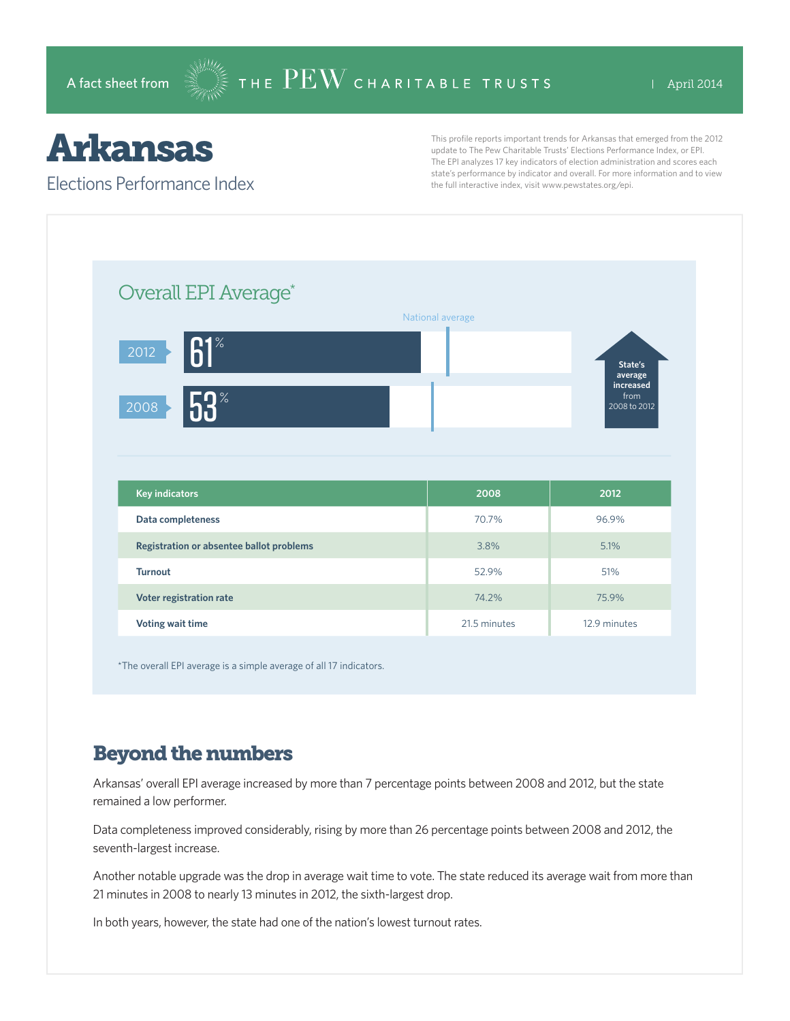# Arkansas

#### Elections Performance Index

This profile reports important trends for Arkansas that emerged from the 2012 update to The Pew Charitable Trusts' Elections Performance Index, or EPI. The EPI analyzes 17 key indicators of election administration and scores each state's performance by indicator and overall. For more information and to view the full interactive index, visit www.pewstates.org/epi.

| Overall EPI Average*                     |                  |                                   |
|------------------------------------------|------------------|-----------------------------------|
|                                          | National average |                                   |
| $61^\circ$<br>$\overline{2012}$          |                  | State's<br>average                |
| 53 <sup>°</sup><br>2008                  |                  | increased<br>from<br>2008 to 2012 |
|                                          |                  |                                   |
|                                          |                  |                                   |
| <b>Key indicators</b>                    | 2008             | 2012                              |
| Data completeness                        | 70.7%            | 96.9%                             |
| Registration or absentee ballot problems | 3.8%             | 5.1%                              |
| <b>Turnout</b>                           | 52.9%            | 51%                               |
| Voter registration rate                  | 74.2%            | 75.9%                             |

\*The overall EPI average is a simple average of all 17 indicators.

## Beyond the numbers

Arkansas' overall EPI average increased by more than 7 percentage points between 2008 and 2012, but the state remained a low performer.

Data completeness improved considerably, rising by more than 26 percentage points between 2008 and 2012, the seventh-largest increase.

Another notable upgrade was the drop in average wait time to vote. The state reduced its average wait from more than 21 minutes in 2008 to nearly 13 minutes in 2012, the sixth-largest drop.

In both years, however, the state had one of the nation's lowest turnout rates.